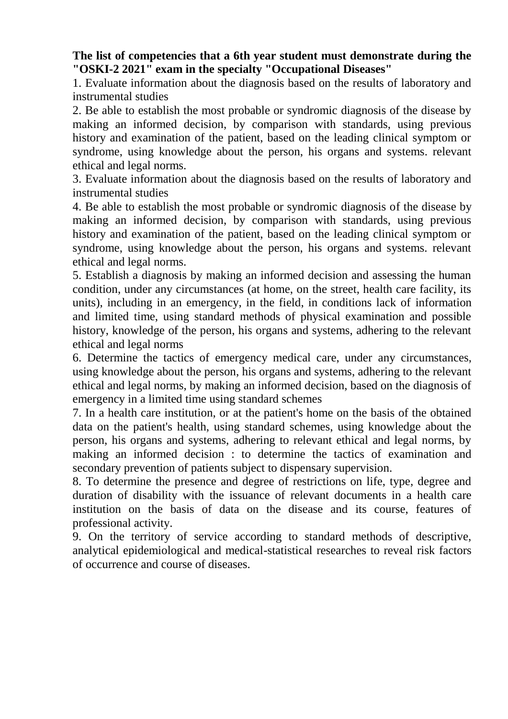## **The list of competencies that a 6th year student must demonstrate during the "OSKI-2 2021" exam in the specialty "Occupational Diseases"**

1. Evaluate information about the diagnosis based on the results of laboratory and instrumental studies

2. Be able to establish the most probable or syndromic diagnosis of the disease by making an informed decision, by comparison with standards, using previous history and examination of the patient, based on the leading clinical symptom or syndrome, using knowledge about the person, his organs and systems. relevant ethical and legal norms.

3. Evaluate information about the diagnosis based on the results of laboratory and instrumental studies

4. Be able to establish the most probable or syndromic diagnosis of the disease by making an informed decision, by comparison with standards, using previous history and examination of the patient, based on the leading clinical symptom or syndrome, using knowledge about the person, his organs and systems. relevant ethical and legal norms.

5. Establish a diagnosis by making an informed decision and assessing the human condition, under any circumstances (at home, on the street, health care facility, its units), including in an emergency, in the field, in conditions lack of information and limited time, using standard methods of physical examination and possible history, knowledge of the person, his organs and systems, adhering to the relevant ethical and legal norms

6. Determine the tactics of emergency medical care, under any circumstances, using knowledge about the person, his organs and systems, adhering to the relevant ethical and legal norms, by making an informed decision, based on the diagnosis of emergency in a limited time using standard schemes

7. In a health care institution, or at the patient's home on the basis of the obtained data on the patient's health, using standard schemes, using knowledge about the person, his organs and systems, adhering to relevant ethical and legal norms, by making an informed decision : to determine the tactics of examination and secondary prevention of patients subject to dispensary supervision.

8. To determine the presence and degree of restrictions on life, type, degree and duration of disability with the issuance of relevant documents in a health care institution on the basis of data on the disease and its course, features of professional activity.

9. On the territory of service according to standard methods of descriptive, analytical epidemiological and medical-statistical researches to reveal risk factors of occurrence and course of diseases.